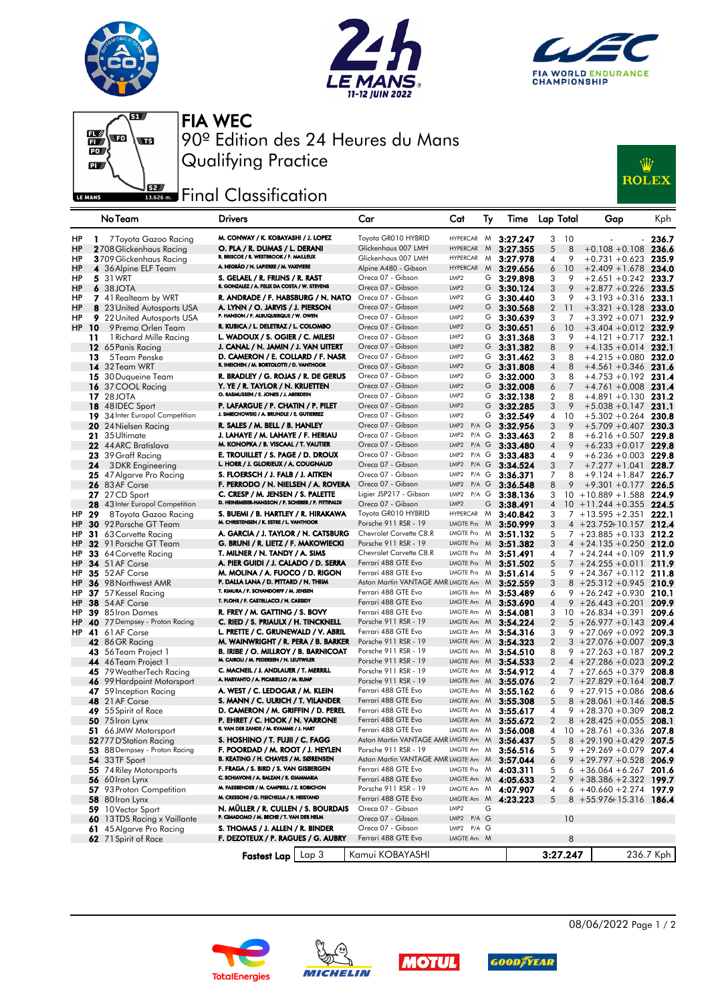







FIA WEC 90º Edition des 24 Heures du Mans Qualifying Practice

## **EZADE:** Final Classification



|           |     | No Team                                            | <b>Drivers</b>                                                                         |       | Car                                                                 | Cat                      | Ту        | Time                                       | Lap Total            | Gap                         | Kph       |
|-----------|-----|----------------------------------------------------|----------------------------------------------------------------------------------------|-------|---------------------------------------------------------------------|--------------------------|-----------|--------------------------------------------|----------------------|-----------------------------|-----------|
| HP        |     | 1 7 Toyota Gazoo Racing                            | M. CONWAY / K. KOBAYASHI / J. LOPEZ                                                    |       | Toyota GR010 HYBRID                                                 | HYPERCAR M               |           | 3:27.247                                   | 3<br>10              |                             | 236.7     |
| HP        |     | 2708 Glickenhaus Racing                            | O. PLA / R. DUMAS / L. DERANI                                                          |       | Glickenhaus 007 LMH                                                 | <b>HYPERCAR</b>          | M         | 3:27.355                                   | 5<br>8               | $+0.108 + 0.108$            | 236.6     |
| HP        |     | 3709 Glickenhaus Racing                            | R. BRISCOE / R. WESTBROOK / F. MAILLEUX                                                |       | Glickenhaus 007 LMH                                                 | <b>HYPERCAR</b>          | M         | 3:27.978                                   | 4<br>9               | $+0.731 + 0.623$            | 235.9     |
| HP        |     | 4 36 Alpine ELF Team                               | A. NEGRÃO / N. LAPIERRE / M. VAXIVIERE                                                 |       | Alpine A480 - Gibson                                                | <b>HYPERCAR</b>          | M         | 3:29.656                                   | 6<br>10              | $+2.409 + 1.678$            | 234.0     |
| HP        |     | <b>5</b> 31 WRT                                    | S. GELAEL / R. FRIJNS / R. RAST                                                        |       | Oreca 07 - Gibson                                                   | LMP <sub>2</sub>         | G         | 3:29.898                                   | 3<br>9               | $+2.651 + 0.242$            | 233.7     |
| HP        |     | 6 38 JOTA                                          | R. GONZALEZ / A. FELIX DA COSTA / W. STEVENS                                           |       | Oreca 07 - Gibson                                                   | LMP <sub>2</sub>         | G         | 3:30.124                                   | 3<br>9               | $+2.877 +0.226$             | 233.5     |
| HP        |     | 7 41 Realteam by WRT                               | R. ANDRADE / F. HABSBURG / N. NATO                                                     |       | Oreca 07 - Gibson                                                   | LMP <sub>2</sub>         | G         | 3:30.440                                   | 3<br>9               | $+3.193 + 0.316$            | 233.1     |
| HP        |     | 8 23 United Autosports USA                         | A. LYNN / O. JARVIS / J. PIERSON                                                       |       | Oreca 07 - Gibson                                                   | LMP <sub>2</sub>         | G         | 3:30.568                                   | $\overline{2}$<br>11 | $+3.321 +0.128$             | 233.0     |
| HP        |     | <b>9</b> 22 United Autosports USA                  | P. HANSON / F. ALBUQUERQUE / W. OWEN                                                   |       | Oreca 07 - Gibson                                                   | LMP <sub>2</sub>         | G         | 3:30.639                                   | 3<br>7               | $+3.392 + 0.071$            | 232.9     |
| <b>HP</b> | 10  | 9 Prema Orlen Team                                 | R. KUBICA / L. DELETRAZ / L. COLOMBO                                                   |       | Oreca 07 - Gibson                                                   | LMP <sub>2</sub>         | G         | 3:30.651                                   | 10<br>6              | $+3.404 + 0.012$            | 232.9     |
|           | 11  | 1 Richard Mille Racing                             | L. WADOUX / S. OGIER / C. MILESI                                                       |       | Oreca 07 - Gibson                                                   | LMP <sub>2</sub>         | G         | 3:31.368                                   | 3<br>9               | $+4.121 + 0.717$            | 232.1     |
|           |     | 12 65 Panis Racing                                 | J. CANAL / N. JAMIN / J. VAN UITERT                                                    |       | Oreca 07 - Gibson                                                   | LMP <sub>2</sub>         | G         | 3:31.382                                   | 9<br>8               | $+4.135 + 0.014$ 232.1      |           |
|           | 13  | 5 Team Penske                                      | D. CAMERON / E. COLLARD / F. NASR                                                      |       | Oreca 07 - Gibson                                                   | LMP <sub>2</sub>         | G         | 3:31.462                                   | 3<br>8               | $+4.215 + 0.080$            | 232.0     |
|           |     | <b>14</b> 32 Team WRT                              | R. INEICHEN / M. BORTOLOTTI / D. VANTHOOR                                              |       | Oreca 07 - Gibson                                                   | LMP <sub>2</sub>         | G         | 3:31.808                                   | 8<br>$\overline{4}$  | $+4.561 + 0.346$            | 231.6     |
|           |     | 15 30 Duqueine Team                                | R. BRADLEY / G. ROJAS / R. DE GERUS                                                    |       | Oreca 07 - Gibson                                                   | LMP <sub>2</sub>         | G         | 3:32.000                                   | 3<br>8               | $+4.753 +0.192$             | 231.4     |
|           | 16  | 37 COOL Racing                                     | Y. YE / R. TAYLOR / N. KRUETTEN                                                        |       | Oreca 07 - Gibson                                                   | LMP <sub>2</sub>         | G         | 3:32.008                                   | 7<br>6               | $+4.761 + 0.008$            | 231.4     |
|           |     | <b>17</b> 28 JOTA                                  | O. RASMUSSEN / E. JONES / J. ABERDEIN                                                  |       | Oreca 07 - Gibson                                                   | LMP2                     | G         | 3:32.138                                   | 2<br>8               | $+4.891 + 0.130$ 231.2      |           |
|           |     | 18 48 IDEC Sport                                   | P. LAFARGUE / P. CHATIN / P. PILET                                                     |       | Oreca 07 - Gibson                                                   | LMP <sub>2</sub>         | G         | 3:32.285                                   | 9<br>3               | $+5.038 + 0.147$            | 231.1     |
|           | 19  | 34 Inter Europol Competition                       | J. SMIECHOWSKI / A. BRUNDLE / E. GUTIERREZ                                             |       | Oreca 07 - Gibson                                                   | LMP <sub>2</sub>         | G         | 3:32.549                                   | 4<br>10              | $+5.302 + 0.264$            | 230.8     |
|           | 20  | 24 Nielsen Racing                                  | R. SALES / M. BELL / B. HANLEY                                                         |       | Oreca 07 - Gibson                                                   | LMP2                     | $P/A$ $G$ | 3:32.956                                   | 3<br>9               | $+5.709 + 0.407$ 230.3      |           |
|           | 21  | 35 Ultimate                                        | J. LAHAYE / M. LAHAYE / F. HERIAU                                                      |       | Oreca 07 - Gibson                                                   | LMP2                     | P/A G     | 3:33.463                                   | 2<br>8               | $+6.216 + 0.507$ 229.8      |           |
|           |     | 22 44 ARC Bratislava                               | M. KONOPKA / B. VISCAAL / T. VAUTIER                                                   |       | Oreca 07 - Gibson                                                   | LMP <sub>2</sub>         | $P/A$ $G$ | 3:33.480                                   | 9<br>$\overline{4}$  | $+6.233 + 0.017$ 229.8      |           |
|           |     | 23 39 Graff Racing                                 | E. TROUILLET / S. PAGE / D. DROUX                                                      |       | Oreca 07 - Gibson                                                   | LMP2                     | P/A G     | 3:33.483                                   | 9<br>$\overline{4}$  | $+6.236 + 0.003$ 229.8      |           |
|           | 24  | 3 DKR Engineering                                  | L. HORR / J. GLORIEUX / A. COUGNAUD                                                    |       | Oreca 07 - Gibson                                                   | LMP <sub>2</sub>         | $P/A$ $G$ | 3:34.524                                   | 3<br>7               | $+7.277 + 1.041$            | 228.7     |
|           |     | 25 47 Algarve Pro Racing                           | S. FLOERSCH / J. FALB / J. AITKEN                                                      |       | Oreca 07 - Gibson                                                   | LMP2 P/A G               |           | 3:36.371                                   | 7<br>8               | $+9.124 + 1.847$ 226.7      |           |
|           |     | <b>26</b> 83 AF Corse                              | F. PERRODO / N. NIELSEN / A. ROVERA                                                    |       | Oreca 07 - Gibson                                                   | LMP2                     | $P/A$ $G$ | 3:36.548                                   | 8<br>9               | $+9.301 + 0.177$            | 226.5     |
|           |     | <b>27</b> 27 CD Sport                              | C. CRESP / M. JENSEN / S. PALETTE                                                      |       | Ligier JSP217 - Gibson                                              | LMP2 P/A G               |           | 3:38.136                                   | 3                    | $10 + 10.889 + 1.588$       | 224.9     |
|           | 28  | 43 Inter Europol Competition                       | D. HEINEMEIER-HANSSON / F. SCHERER / P. FITTIPALDI                                     |       | Oreca 07 - Gibson                                                   | LMP2                     | G         | 3:38.491                                   | $\overline{4}$       | $10 + 11.244 + 0.355$       | - 224.5   |
| HP        | -29 | 8 Toyota Gazoo Racing                              | S. BUEMI / B. HARTLEY / R. HIRAKAWA                                                    |       | Toyota GR010 HYBRID                                                 | HYPERCAR M               |           | 3:40.842                                   | 3                    | $7 + 13.595 + 2.351$        | 222.1     |
| HP        |     | <b>30</b> 92 Porsche GT Team                       | M. CHRISTENSEN / K. ESTRE / L. VANTHOOR                                                |       | Porsche 911 RSR - 19                                                | LMGTE Pro M              |           | 3:50.999                                   | 3                    | $4 + 23.752 + 10.157$ 212.4 |           |
| HP        |     | 31 63 Corvette Racina                              | A. GARCIA / J. TAYLOR / N. CATSBURG                                                    |       | Chevrolet Corvette C8.R                                             |                          |           | LMGTE Pro M 3:51.132                       | 5                    | $7 + 23.885 + 0.133$ 212.2  |           |
| HP        |     | <b>32</b> 91 Porsche GT Team                       | G. BRUNI / R. LIETZ / F. MAKOWIECKI                                                    |       | Porsche 911 RSR - 19                                                | LMGTE Pro                | M         | 3:51.382                                   | 3                    | $4 + 24.135 + 0.250$        | 212.0     |
| HP        |     | 33 64 Corvette Racing                              | T. MILNER / N. TANDY / A. SIMS                                                         |       | Chevrolet Corvette C8.R                                             | LMGTE Pro                | M         | 3:51.491                                   | 4                    | $7 + 24.244 + 0.109$        | 211.9     |
| HP        |     | <b>34</b> 51 AF Corse                              | A. PIER GUIDI / J. CALADO / D. SERRA                                                   |       | Ferrari 488 GTE Evo                                                 | LMGTE Pro M              |           | 3:51.502                                   | 5                    | $7 + 24.255 + 0.011$        | 211.9     |
| HP        |     | 35 52 AF Corse                                     | M. MOLINA / A. FUOCO / D. RIGON                                                        |       | Ferrari 488 GTE Evo                                                 | LMGTE Pro M              |           | 3:51.614                                   | 5                    | $9 + 24.367 + 0.112$        | 211.8     |
| HP        |     | 36 98 Northwest AMR                                | P. DALLA LANA / D. PITTARD / N. THIIM                                                  |       | Aston Martin VANTAGE AMR LMGTE Am M                                 |                          |           | 3:52.559                                   | 3                    | $8 + 25.312 + 0.945$        | 210.9     |
| HP        |     | 37 57 Kessel Racing                                | T. KIMURA / F. SCHANDORFF / M. JENSEN                                                  |       | Ferrari 488 GTE Evo                                                 | LMGTE Am M               |           | 3:53.489                                   | 6<br>9               | $+26.242 + 0.930$           | 210.1     |
| HP        |     | <b>38</b> 54 AF Corse                              | T. FLOHR / F. CASTELLACCI / N. CASSIDY                                                 |       | Ferrari 488 GTE Evo                                                 |                          |           | LMGTE Am <b>M 3:53.690</b>                 | $\overline{4}$       | $9 + 26.443 + 0.201$        | 209.9     |
| HP        |     | 39 85 Iron Dames                                   | R. FREY / M. GATTING / S. BOVY                                                         |       | Ferrari 488 GTE Evo                                                 |                          |           | LMGTE Am M 3:54.081                        | 3                    | $10 + 26.834 + 0.391$       | 209.6     |
| <b>HP</b> | 40  | 77 Dempsey - Proton Racing                         | C. RIED / S. PRIAULX / H. TINCKNELL                                                    |       | Porsche 911 RSR - 19                                                | LMGTE Am M               |           | 3:54.224                                   | $\overline{2}$       | $5 + 26.977 + 0.143$        | 209.4     |
| HP        |     | 41 61 AF Corse                                     | L. PRETTE / C. GRUNEWALD / V. ABRIL                                                    |       | Ferrari 488 GTE Evo                                                 | LMGTE Am M               |           | 3:54.316                                   | 3                    | $9 + 27.069 + 0.092$        | 209.3     |
|           |     | 42 86 GR Racing                                    | M. WAINWRIGHT / R. PERA / B. BARKER                                                    |       | Porsche 911 RSR - 19                                                | LMGTE Am M               |           | 3:54.323                                   | 2                    | $3 + 27.076 + 0.007$        | 209.3     |
|           | 43. | 56 Team Project 1                                  | <b>B. IRIBE / O. MILLROY / B. BARNICOAT</b><br>M. CAIROLI / M. PEDERSEN / N. LEUTWILER |       | Porsche 911 RSR - 19                                                | LMGTE Am M               |           | 3:54.510                                   | 8                    | $9 + 27.263 + 0.187$        | 209.2     |
|           |     | 44 46 Team Project 1                               | C. MACNEIL / J. ANDLAUER / T. MERRILL                                                  |       | Porsche 911 RSR - 19                                                | LMGTE Am M               |           | 3:54.533                                   | $\overline{2}$       | $4 + 27.286 + 0.023$        | 209.2     |
|           |     | 45 79 Weather Tech Racing                          | A. HARYANTO / A. PICARIELLO / M. RUMP                                                  |       | Porsche 911 RSR - 19<br>Porsche 911 RSR - 19                        | LMGTE Am M               |           | 3:54.912                                   | $\overline{4}$       | $7 + 27.665 + 0.379$        | 208.8     |
|           | 46  | 99 Hardpoint Motorsport                            |                                                                                        |       |                                                                     |                          |           | LMGTE Am M 3:55.076                        | $\overline{2}$       | $7 + 27.829 + 0.164$        | 208.7     |
|           | 47. | 59 Inception Racing                                | A. WEST / C. LEDOGAR / M. KLEIN                                                        |       | Ferrari 488 GTE Evo                                                 |                          |           | LMGTE Am M 3:55.162                        | 6                    | $9 + 27.915 + 0.086$        | 208.6     |
|           | 48  | 21 AF Corse                                        | S. MANN / C. ULRICH / T. VILANDER                                                      |       | Ferrari 488 GTE Evo                                                 | LMGTE Am M               |           | 3:55.308                                   | 5                    | $8 + 28.061 + 0.146$        | 208.5     |
|           |     | 49 55 Spirit of Race                               | D. CAMERON / M. GRIFFIN / D. PEREL<br>P. EHRET / C. HOOK / N. VARRONE                  |       | Ferrari 488 GTE Evo<br>Ferrari 488 GTE Evo                          | LMGTE Am M               |           | 3:55.617                                   | 4                    | $9 + 28.370 + 0.309$        | 208.2     |
|           |     | <b>50</b> 75 Iron Lynx                             | R. VAN DER ZANDE / M. KVAMME / J. HART                                                 |       | Ferrari 488 GTE Evo                                                 |                          |           | LMGTE Am M 3:55.672                        | 2                    | $8 + 28.425 + 0.055$        | 208.1     |
|           |     | 51 66 JMW Motorsport                               |                                                                                        |       |                                                                     |                          |           | LMGTE Am M 3:56.008                        | 4                    | $10 + 28.761 + 0.336$       | 207.8     |
|           |     | <b>52</b> 777 D'Station Racing                     | S. HOSHINO / T. FUJII / C. FAGG<br>F. POORDAD / M. ROOT / J. HEYLEN                    |       | Aston Martin VANTAGE AMR LMGTE Am M 3:56.437                        |                          |           |                                            | 5                    | $8 + 29.190 + 0.429$ 207.5  |           |
|           |     | 53 88 Dempsey - Proton Racing                      | B. KEATING / H. CHAVES / M. SØRENSEN                                                   |       | Porsche 911 RSR - 19                                                |                          |           | LMGTE Am M 3:56.516                        | 5                    | $9 + 29.269 + 0.079$ 207.4  |           |
|           |     | <b>54</b> 33 TF Sport                              | F. FRAGA / S. BIRD / S. VAN GISBERGEN                                                  |       | Aston Martin VANTAGE AMR LMGTE Am M 3:57.044<br>Ferrari 488 GTE Evo |                          |           |                                            | 6                    | $9 + 29.797 + 0.528$ 206.9  |           |
|           |     | 55 74 Riley Motorsports                            | C. SCHIAVONI / A. BALZAN / R. GIAMMARIA                                                |       | Ferrari 488 GTE Evo                                                 |                          |           | LMGTE Pro M 4:03.311                       | 5                    | $6 + 36.064 + 6.267$ 201.6  |           |
|           |     | $56\,60$ Iron Lynx                                 | M. FASSBENDER / M. CAMPBELL / Z. ROBICHON                                              |       | Porsche 911 RSR - 19                                                |                          |           | LMGTE Am M 4:05.633<br>LMGTE Am M 4:07.907 | 2                    | $9 + 38.386 + 2.322$ 199.7  |           |
|           |     | 57 93 Proton Competition<br><b>58</b> 80 Iron Lynx | M. CRESSONI / G. FISICHELLA / R. HEISTAND                                              |       | Ferrari 488 GTE Evo                                                 |                          |           |                                            | 4                    | $6 + 40.660 + 2.274$ 197.9  |           |
|           |     |                                                    | N. MÜLLER / R. CULLEN / S. BOURDAIS                                                    |       | Oreca 07 - Gibson                                                   | LMP2                     | G         | LMGTE Am M 4:23.223                        | 5                    | $8 + 55.976 + 15.316$ 186.4 |           |
|           |     | 59 10 Vector Sport                                 | P. CIMADOMO / M. BECHE / T. VAN DER HELM                                               |       | Oreca 07 - Gibson                                                   |                          |           |                                            |                      |                             |           |
|           |     | 60 13 TDS Racing x Vaillante                       | S. THOMAS / J. ALLEN / R. BINDER                                                       |       | Oreca 07 - Gibson                                                   | LMP2 P/A G<br>LMP2 P/A G |           |                                            | 10                   |                             |           |
|           |     | 61 45 Algarve Pro Racing                           | F. DEZOTEUX / P. RAGUES / G. AUBRY                                                     |       | Ferrari 488 GTE Evo                                                 | LMGTE Am M               |           |                                            | 8                    |                             |           |
|           |     | 62 71 Spirit of Race                               |                                                                                        |       |                                                                     |                          |           |                                            |                      |                             |           |
|           |     |                                                    | <b>Fastest Lap</b>                                                                     | Lap 3 | Kamui KOBAYASHI                                                     |                          |           |                                            | 3:27.247             |                             | 236.7 Kph |